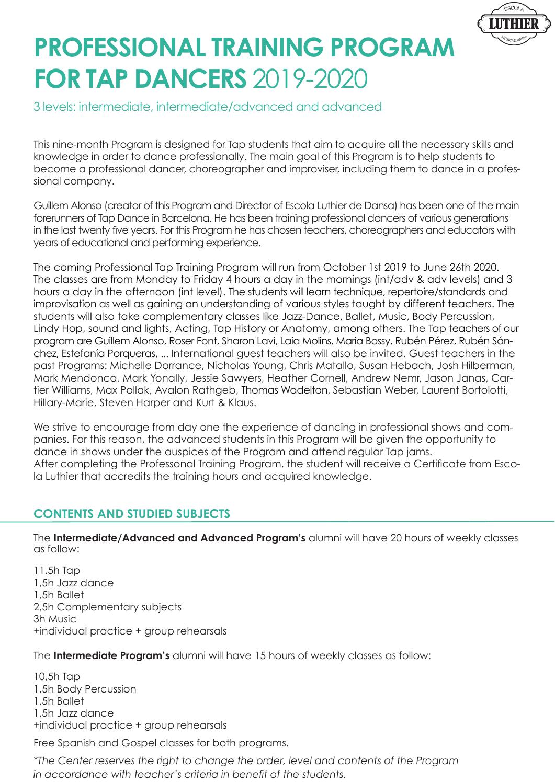

# **PROFESSIONAL TRAINING PROGRAM FOR TAP DANCERS** 2019-2020

## 3 levels: intermediate, intermediate/advanced and advanced

This nine-month Program is designed for Tap students that aim to acquire all the necessary skills and knowledge in order to dance professionally. The main goal of this Program is to help students to become a professional dancer, choreographer and improviser, including them to dance in a professional company.

Guillem Alonso (creator of this Program and Director of Escola Luthier de Dansa) has been one of the main forerunners of Tap Dance in Barcelona. He has been training professional dancers of various generations in the last twenty five years. For this Program he has chosen teachers, choreographers and educators with years of educational and performing experience.

The coming Professional Tap Training Program will run from October 1st 2019 to June 26th 2020. The classes are from Monday to Friday 4 hours a day in the mornings (int/adv & adv levels) and 3 hours a day in the afternoon (int level). The students will learn technique, repertoire/standards and improvisation as well as gaining an understanding of various styles taught by different teachers. The students will also take complementary classes like Jazz-Dance, Ballet, Music, Body Percussion, Lindy Hop, sound and lights, Acting, Tap History or Anatomy, among others. The Tap teachers of our program are Guillem Alonso, Roser Font, Sharon Lavi, Laia Molins, Maria Bossy, Rubén Pérez, Rubén Sánchez, Estefanía Porqueras, ... International guest teachers will also be invited. Guest teachers in the past Programs: Michelle Dorrance, Nicholas Young, Chris Matallo, Susan Hebach, Josh Hilberman, Mark Mendonca, Mark Yonally, Jessie Sawyers, Heather Cornell, Andrew Nemr, Jason Janas, Cartier Williams, Max Pollak, Avalon Rathgeb, Thomas Wadelton, Sebastian Weber, Laurent Bortolotti, Hillary-Marie, Steven Harper and Kurt & Klaus.

We strive to encourage from day one the experience of dancing in professional shows and companies. For this reason, the advanced students in this Program will be given the opportunity to dance in shows under the auspices of the Program and attend regular Tap jams. After completing the Professonal Training Program, the student will receive a Certificate from Escola Luthier that accredits the training hours and acquired knowledge.

### **CONTENTS AND STUDIED SUBJECTS**

The **Intermediate/Advanced and Advanced Program's** alumni will have 20 hours of weekly classes as follow:

11,5h Tap 1,5h Jazz dance 1,5h Ballet 2,5h Complementary subjects 3h Music +individual practice + group rehearsals

The **Intermediate Program's** alumni will have 15 hours of weekly classes as follow:

10,5h Tap 1,5h Body Percussion 1,5h Ballet 1,5h Jazz dance +individual practice + group rehearsals

Free Spanish and Gospel classes for both programs.

*\*The Center reserves the right to change the order, level and contents of the Program*  in accordance with teacher's criteria in benefit of the students.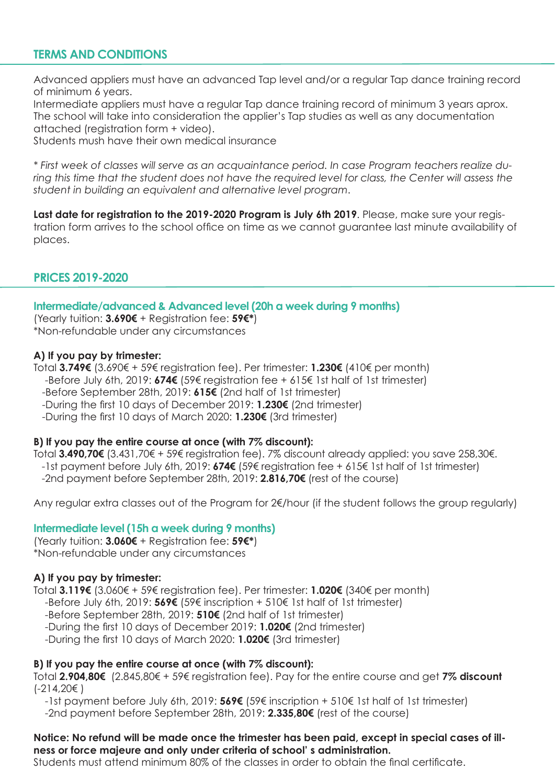### **TERMS AND CONDITIONS**

Advanced appliers must have an advanced Tap level and/or a regular Tap dance training record of minimum 6 years.

Intermediate appliers must have a regular Tap dance training record of minimum 3 years aprox. The school will take into consideration the applier's Tap studies as well as any documentation attached (registration form + video).

Students mush have their own medical insurance

\* First week of classes will serve as an acquaintance period. In case Program teachers realize during this time that the student does not have the required level for class, the Center will assess the *student in building an equivalent and alternative level program.* 

Last date for registration to the 2019-2020 Program is July 6th 2019. Please, make sure your registration form arrives to the school office on time as we cannot guarantee last minute availability of places.

#### **PRICES 2019-2020**

#### **Intermediate/advanced & Advanced level (20h a week during 9 months)**

(Yearly tuition: **3.690€** + Registration fee: **59€\***) \*Non-refundable under any circumstances

#### **A) If you pay by trimester:**

Total **3.749€** (3.690€ + 59€ registration fee). Per trimester: **1.230€** (410€ per month) -Before July 6th, 2019: **674€** (59€ registration fee + 615€ 1st half of 1st trimester)

-Before September 28th, 2019: 615€ (2nd half of 1st trimester)

-During the first 10 days of December 2019: **1.230€** (2nd trimester)

-During the first 10 days of March 2020: **1.230€** (3rd trimester)

#### **B) If you pay the entire course at once (with 7% discount):**

Total 3.490.70€ (3.431,70€ + 59€ reaistration fee), 7% discount already applied; you save 258.30€. -1st payment before July 6th, 2019: **674€** (59€ registration fee + 615€ 1st half of 1st trimester)

-2nd payment before September 28th, 2019: **2.816,70€** (rest of the course)

Any regular extra classes out of the Program for 2€/hour (if the student follows the group regularly)

#### **Intermediate level (15h a week during 9 months)**

(Yearly tuition: **3.060€** + Registration fee: **59€\***) \*Non-refundable under any circumstances

#### **A) If you pay by trimester:**

Total **3.119€** (3.060€ + 59€ registration fee). Per trimester: **1.020€** (340€ per month)

-Before July 6th, 2019: **569€** (59€ inscription + 510€ 1st half of 1st trimester)

-Before September 28th, 2019: **510€** (2nd half of 1st trimester)

-During the first 10 days of December 2019: **1.020€** (2nd trimester)

-During the first 10 days of March 2020: **1.020€** (3rd trimester)

#### **B) If you pay the entire course at once (with 7% discount):**

Total 2.904,80€ (2.845,80€ + 59€ registration fee). Pay for the entire course and get 7% discount (-214,20€ )

-1st payment before July 6th, 2019: **569€** (59€ inscription + 510€ 1st half of 1st trimester)

-2nd payment before September 28th, 2019: **2.335,80€** (rest of the course)

#### **Notice: No refund will be made once the trimester has been paid, except in special cases of illness or force majeure and only under criteria of school' s administration.**

Students must attend minimum 80% of the classes in order to obtain the final certificate.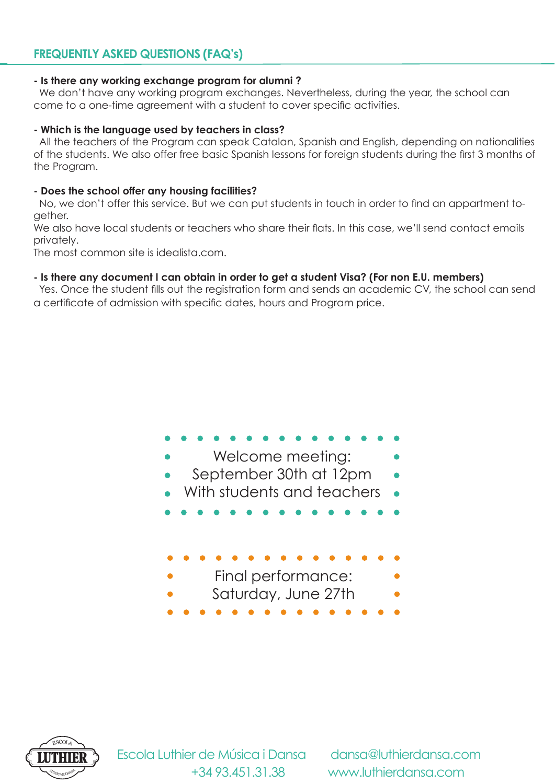## **FREQUENTLY ASKED QUESTIONS (FAQ's)**

#### **- Is there any working exchange program for alumni ?**

 We don't have any working program exchanges. Nevertheless, during the year, the school can come to a one-time agreement with a student to cover specific activities.

#### **- Which is the language used by teachers in class?**

All the teachers of the Program can speak Catalan, Spanish and English, depending on nationalities of the students. We also offer free basic Spanish lessons for foreign students during the first 3 months of the Program.

#### **- Does the school offer any housing facilities?**

No, we don't offer this service. But we can put students in touch in order to find an appartment together.

We also have local students or teachers who share their flats. In this case, we'll send contact emails privately.

The most common site is idealista.com.

#### **- Is there any document I can obtain in order to get a student Visa? (For non E.U. members)**

Yes. Once the student fills out the registration form and sends an academic CV, the school can send a certificate of admission with specific dates, hours and Program price.

| Welcome meeting:<br>September 30th at 12pm<br>With students and teachers |  |
|--------------------------------------------------------------------------|--|
|                                                                          |  |
| Final performance:<br>Saturday, June 27th                                |  |



**THIER** Escola Luthier de Música i Dansa dansa@luthierdansa.com

+34 93.451.31.38 www.luthierdansa.com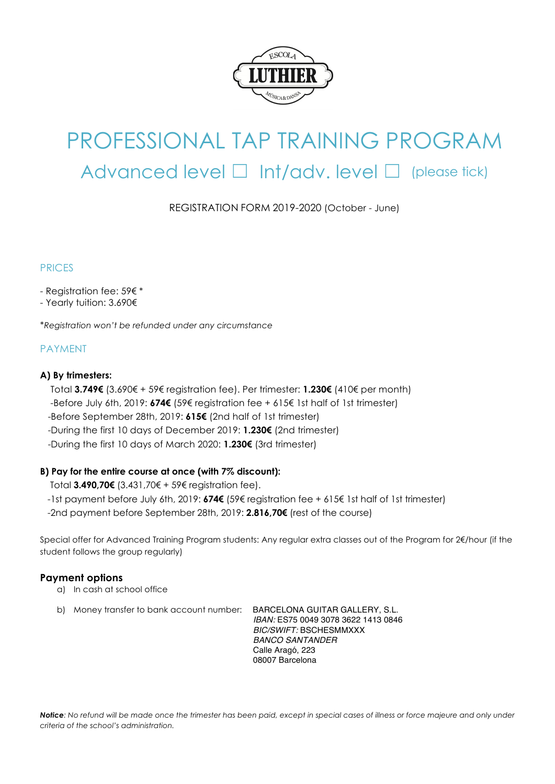

## PROFESSIONAL TAP TRAINING PROGRAM Advanced level  $\Box$  Int/adv. level  $\Box$  (please tick)

REGISTRATION FORM 2019-2020 (October - June)

#### PRICES

- Registration fee: 59€ \*
- Yearly tuition: 3.690€

\**Registration won't be refunded under any circumstance*

#### PAYMENT

#### **A) By trimesters:**

Total **3.749€** (3.690€ + 59€ registration fee). Per trimester: **1.230€** (410€ per month) -Before July 6th, 2019: **674€** (59€ registration fee + 615€ 1st half of 1st trimester) -Before September 28th, 2019: **615€** (2nd half of 1st trimester) -During the first 10 days of December 2019: **1.230€** (2nd trimester) -During the first 10 days of March 2020: **1.230€** (3rd trimester)

#### **B) Pay for the entire course at once (with 7% discount):**

Total **3.490,70€** (3.431,70€ + 59€ registration fee).

-1st payment before July 6th, 2019: **674€** (59€ registration fee + 615€ 1st half of 1st trimester)

-2nd payment before September 28th, 2019: **2.816,70€** (rest of the course)

Special offer for Advanced Training Program students: Any regular extra classes out of the Program for 2€/hour (if the student follows the group regularly)

#### **Payment options**

- a) In cash at school office
- b) Money transfer to bank account number: BARCELONA GUITAR GALLERY, S.L.

 *IBAN:* ES75 0049 3078 3622 1413 0846  *BIC/SWIFT:* BSCHESMMXXX  *BANCO SANTANDER* Calle Aragó, 223 08007 Barcelona

*Notice: No refund will be made once the trimester has been paid, except in special cases of illness or force majeure and only under criteria of the school's administration.*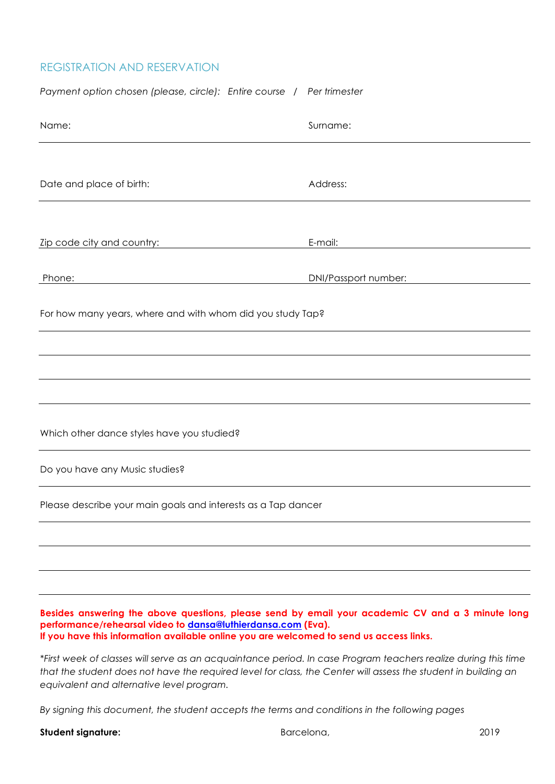## REGISTRATION AND RESERVATION

| Payment option chosen (please, circle): Entire course / Per trimester                                                                                                                                                                                       |                      |  |  |
|-------------------------------------------------------------------------------------------------------------------------------------------------------------------------------------------------------------------------------------------------------------|----------------------|--|--|
| Name:                                                                                                                                                                                                                                                       | Surname:             |  |  |
|                                                                                                                                                                                                                                                             |                      |  |  |
| Date and place of birth:                                                                                                                                                                                                                                    | Address:             |  |  |
|                                                                                                                                                                                                                                                             |                      |  |  |
| Zip code city and country:                                                                                                                                                                                                                                  | E-mail:              |  |  |
| Phone:                                                                                                                                                                                                                                                      | DNI/Passport number: |  |  |
| For how many years, where and with whom did you study Tap?                                                                                                                                                                                                  |                      |  |  |
|                                                                                                                                                                                                                                                             |                      |  |  |
|                                                                                                                                                                                                                                                             |                      |  |  |
|                                                                                                                                                                                                                                                             |                      |  |  |
| Which other dance styles have you studied?                                                                                                                                                                                                                  |                      |  |  |
| Do you have any Music studies?                                                                                                                                                                                                                              |                      |  |  |
| Please describe your main goals and interests as a Tap dancer                                                                                                                                                                                               |                      |  |  |
|                                                                                                                                                                                                                                                             |                      |  |  |
|                                                                                                                                                                                                                                                             |                      |  |  |
|                                                                                                                                                                                                                                                             |                      |  |  |
| Besides answering the above questions, please send by email your academic CV and a 3 minute long<br>performance/rehearsal video to dansa@luthierdansa.com (Eva).<br>If you have this information available online you are welcomed to send us access links. |                      |  |  |

*\*First week of classes will serve as an acquaintance period. In case Program teachers realize during this time that the student does not have the required level for class, the Center will assess the student in building an equivalent and alternative level program.*

*By signing this document, the student accepts the terms and conditions in the following pages*

Student signature: **Barcelona**, **Barcelona**, **Barcelona**, **2019**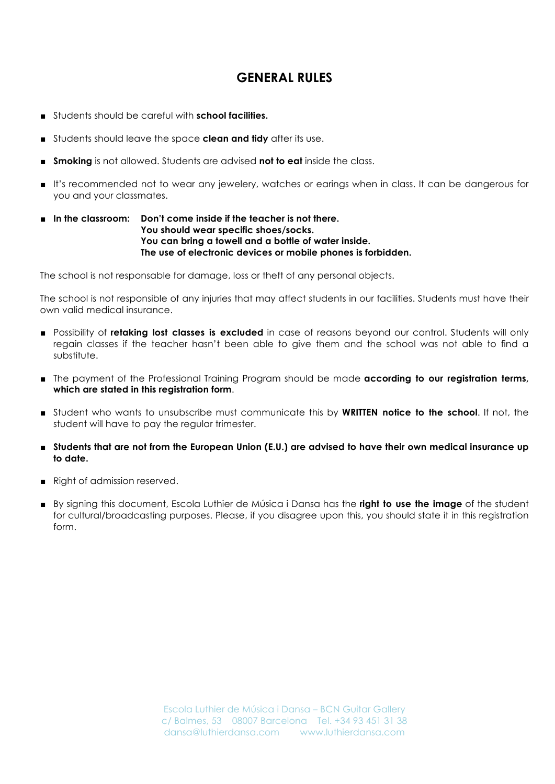## **GENERAL RULES**

- Students should be careful with **school facilities.**
- Students should leave the space **clean and tidy** after its use.
- **Smoking** is not allowed. Students are advised **not to eat** inside the class.
- It's recommended not to wear any jewelery, watches or earings when in class. It can be dangerous for you and your classmates.

#### ■ **In the classroom: Don't come inside if the teacher is not there. You should wear specific shoes/socks. You can bring a towell and a bottle of water inside. The use of electronic devices or mobile phones is forbidden.**

The school is not responsable for damage, loss or theft of any personal objects.

The school is not responsible of any injuries that may affect students in our facilities. Students must have their own valid medical insurance.

- Possibility of **retaking lost classes is excluded** in case of reasons beyond our control. Students will only regain classes if the teacher hasn't been able to give them and the school was not able to find a substitute.
- The payment of the Professional Training Program should be made **according to our registration terms**, **which are stated in this registration form**.
- Student who wants to unsubscribe must communicate this by **WRITTEN notice to the school**. If not, the student will have to pay the regular trimester.
- **Students that are not from the European Union (E.U.) are advised to have their own medical insurance up to date.**
- Right of admission reserved.
- By signing this document, Escola Luthier de Música i Dansa has the **right to use the image** of the student for cultural/broadcasting purposes. Please, if you disagree upon this, you should state it in this registration form.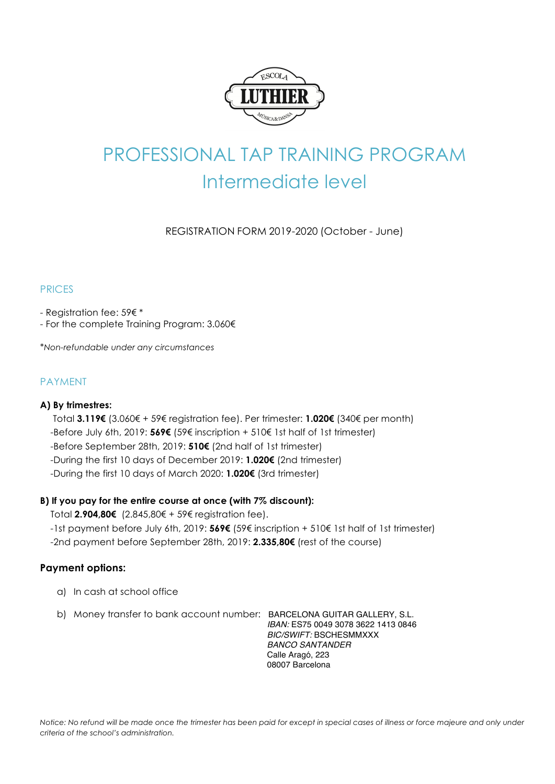

## PROFESSIONAL TAP TRAINING PROGRAM Intermediate level

REGISTRATION FORM 2019-2020 (October - June)

#### PRICES

- Registration fee: 59€ \*

- For the complete Training Program: 3.060€

\**Non-refundable under any circumstances*

#### PAYMENT

#### **A) By trimestres:**

 Total **3.119€** (3.060€ + 59€ registration fee). Per trimester: **1.020€** (340€ per month) -Before July 6th, 2019: **569€** (59€ inscription + 510€ 1st half of 1st trimester) -Before September 28th, 2019: **510€** (2nd half of 1st trimester) -During the first 10 days of December 2019: **1.020€** (2nd trimester)

-During the first 10 days of March 2020: **1.020€** (3rd trimester)

#### **B) If you pay for the entire course at once (with 7% discount):**

Total **2.904,80€** (2.845,80€ + 59€ registration fee).

-1st payment before July 6th, 2019: **569€** (59€ inscription + 510€ 1st half of 1st trimester)

-2nd payment before September 28th, 2019: **2.335,80€** (rest of the course)

#### **Payment options:**

- a) In cash at school office
- b) Money transfer to bank account number: BARCELONA GUITAR GALLERY, S.L.

 *IBAN:* ES75 0049 3078 3622 1413 0846  *BIC/SWIFT:* BSCHESMMXXX  *BANCO SANTANDER* Calle Aragó, 223 08007 Barcelona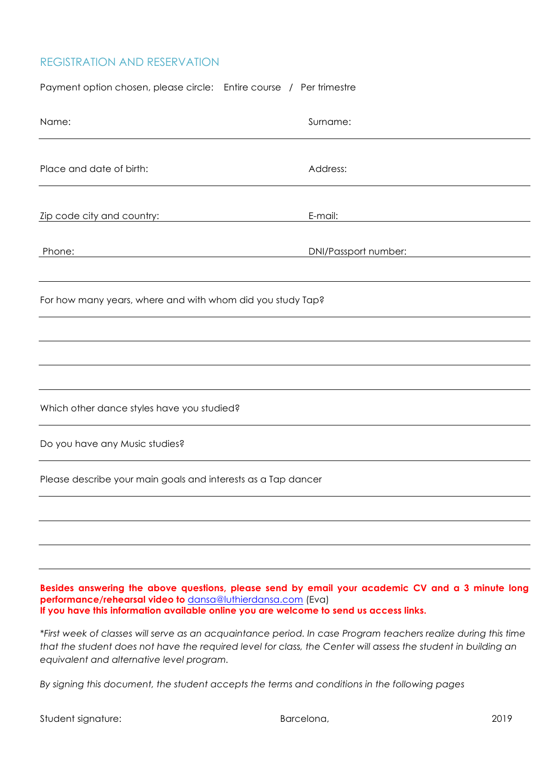#### REGISTRATION AND RESERVATION

| Payment option chosen, please circle: Entire course / Per trimestre                                                                                                                                                                                       |                      |  |  |  |
|-----------------------------------------------------------------------------------------------------------------------------------------------------------------------------------------------------------------------------------------------------------|----------------------|--|--|--|
| Name:                                                                                                                                                                                                                                                     | Surname:             |  |  |  |
| Place and date of birth:                                                                                                                                                                                                                                  | Address:             |  |  |  |
| Zip code city and country:                                                                                                                                                                                                                                | E-mail:              |  |  |  |
| Phone:                                                                                                                                                                                                                                                    | DNI/Passport number: |  |  |  |
| For how many years, where and with whom did you study Tap?                                                                                                                                                                                                |                      |  |  |  |
|                                                                                                                                                                                                                                                           |                      |  |  |  |
|                                                                                                                                                                                                                                                           |                      |  |  |  |
| Which other dance styles have you studied?                                                                                                                                                                                                                |                      |  |  |  |
| Do you have any Music studies?                                                                                                                                                                                                                            |                      |  |  |  |
| Please describe your main goals and interests as a Tap dancer                                                                                                                                                                                             |                      |  |  |  |
|                                                                                                                                                                                                                                                           |                      |  |  |  |
|                                                                                                                                                                                                                                                           |                      |  |  |  |
| Besides answering the above questions, please send by email your academic CV and a 3 minute long<br>performance/rehearsal video to dansa@luthierdansa.com (Eva)<br>If you have this information available online you are welcome to send us access links. |                      |  |  |  |

*\*First week of classes will serve as an acquaintance period. In case Program teachers realize during this time that the student does not have the required level for class, the Center will assess the student in building an equivalent and alternative level program.*

*By signing this document, the student accepts the terms and conditions in the following pages*